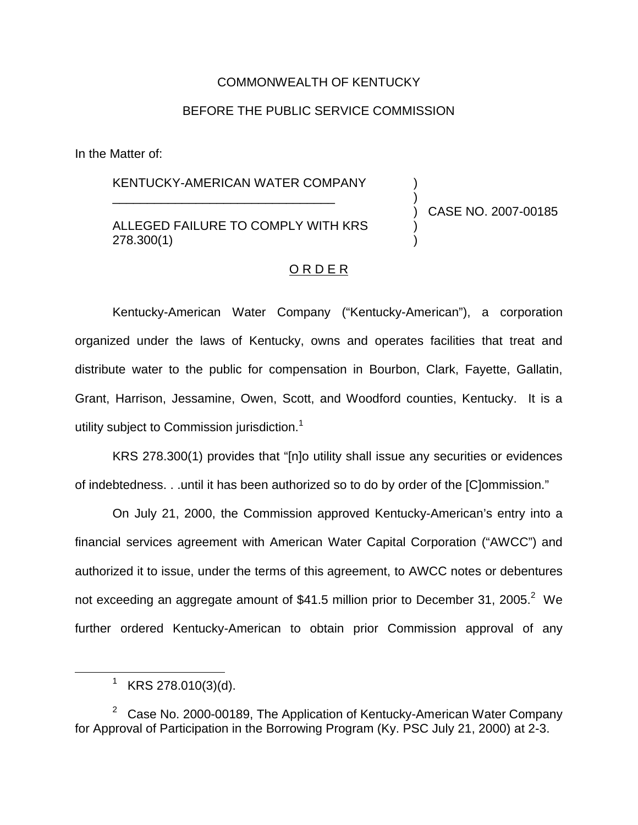# COMMONWEALTH OF KENTUCKY

# BEFORE THE PUBLIC SERVICE COMMISSION

In the Matter of:

# KENTUCKY-AMERICAN WATER COMPANY

\_\_\_\_\_\_\_\_\_\_\_\_\_\_\_\_\_\_\_\_\_\_\_\_\_\_\_\_\_\_\_\_

# ALLEGED FAILURE TO COMPLY WITH KRS 278.300(1)

) CASE NO. 2007-00185

) )

) )

#### O R D E R

Kentucky-American Water Company ("Kentucky-American"), a corporation organized under the laws of Kentucky, owns and operates facilities that treat and distribute water to the public for compensation in Bourbon, Clark, Fayette, Gallatin, Grant, Harrison, Jessamine, Owen, Scott, and Woodford counties, Kentucky. It is a utility subject to Commission jurisdiction.<sup>1</sup>

KRS 278.300(1) provides that "[n]o utility shall issue any securities or evidences of indebtedness. . .until it has been authorized so to do by order of the [C]ommission."

On July 21, 2000, the Commission approved Kentucky-American's entry into a financial services agreement with American Water Capital Corporation ("AWCC") and authorized it to issue, under the terms of this agreement, to AWCC notes or debentures not exceeding an aggregate amount of \$41.5 million prior to December 31, 2005.<sup>2</sup> We further ordered Kentucky-American to obtain prior Commission approval of any

 $1$  KRS 278.010(3)(d).

 $2$  Case No. 2000-00189, The Application of Kentucky-American Water Company for Approval of Participation in the Borrowing Program (Ky. PSC July 21, 2000) at 2-3.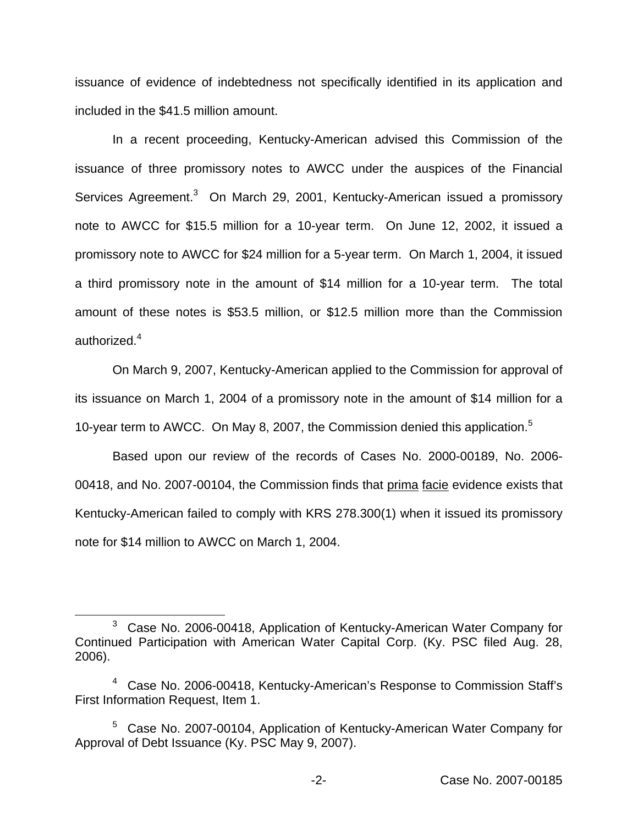issuance of evidence of indebtedness not specifically identified in its application and included in the \$41.5 million amount.

In a recent proceeding, Kentucky-American advised this Commission of the issuance of three promissory notes to AWCC under the auspices of the Financial Services Agreement.<sup>3</sup> On March 29, 2001, Kentucky-American issued a promissory note to AWCC for \$15.5 million for a 10-year term. On June 12, 2002, it issued a promissory note to AWCC for \$24 million for a 5-year term. On March 1, 2004, it issued a third promissory note in the amount of \$14 million for a 10-year term. The total amount of these notes is \$53.5 million, or \$12.5 million more than the Commission authorized.<sup>4</sup>

On March 9, 2007, Kentucky-American applied to the Commission for approval of its issuance on March 1, 2004 of a promissory note in the amount of \$14 million for a 10-year term to AWCC. On May 8, 2007, the Commission denied this application.<sup>5</sup>

Based upon our review of the records of Cases No. 2000-00189, No. 2006- 00418, and No. 2007-00104, the Commission finds that prima facie evidence exists that Kentucky-American failed to comply with KRS 278.300(1) when it issued its promissory note for \$14 million to AWCC on March 1, 2004.

<sup>3</sup> Case No. 2006-00418, Application of Kentucky-American Water Company for Continued Participation with American Water Capital Corp. (Ky. PSC filed Aug. 28, 2006).

<sup>4</sup> Case No. 2006-00418, Kentucky-American's Response to Commission Staff's First Information Request, Item 1.

<sup>&</sup>lt;sup>5</sup> Case No. 2007-00104, Application of Kentucky-American Water Company for Approval of Debt Issuance (Ky. PSC May 9, 2007).